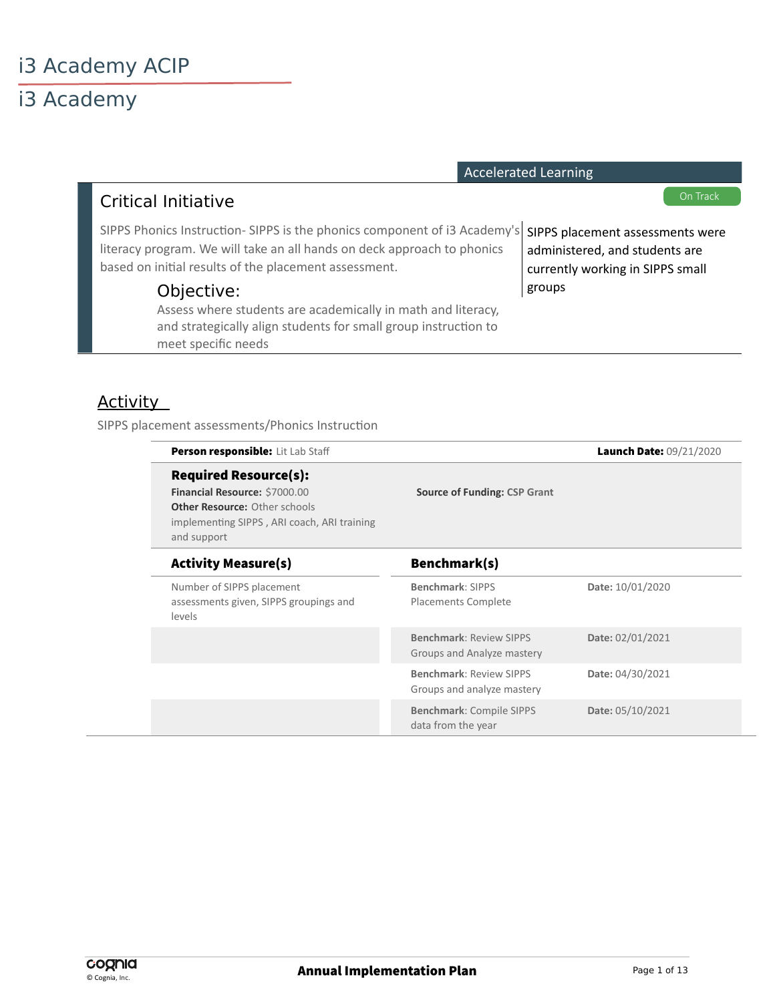# i3 Academy

|                 |                                                                                                                                                                                                              |                                                              | <b>Accelerated Learning</b>                                                                            |
|-----------------|--------------------------------------------------------------------------------------------------------------------------------------------------------------------------------------------------------------|--------------------------------------------------------------|--------------------------------------------------------------------------------------------------------|
|                 | <b>Critical Initiative</b>                                                                                                                                                                                   |                                                              | On Track                                                                                               |
|                 | SIPPS Phonics Instruction-SIPPS is the phonics component of i3 Academy's<br>literacy program. We will take an all hands on deck approach to phonics<br>based on initial results of the placement assessment. |                                                              | SIPPS placement assessments were<br>administered, and students are<br>currently working in SIPPS small |
|                 | Objective:<br>Assess where students are academically in math and literacy,<br>and strategically align students for small group instruction to<br>meet specific needs                                         |                                                              | groups                                                                                                 |
| <u>Activity</u> | SIPPS placement assessments/Phonics Instruction                                                                                                                                                              |                                                              |                                                                                                        |
|                 | Person responsible: Lit Lab Staff                                                                                                                                                                            |                                                              | Launch Date: 09/21/2020                                                                                |
|                 | <b>Required Resource(s):</b><br>Financial Resource: \$7000.00<br>Other Resource: Other schools<br>implementing SIPPS, ARI coach, ARI training<br>and support                                                 | <b>Source of Funding: CSP Grant</b>                          |                                                                                                        |
|                 | <b>Activity Measure(s)</b>                                                                                                                                                                                   | Benchmark(s)                                                 |                                                                                                        |
|                 | Number of SIPPS placement<br>assessments given, SIPPS groupings and<br>levels                                                                                                                                | Benchmark: SIPPS<br>Placements Complete                      | Date: 10/01/2020                                                                                       |
|                 |                                                                                                                                                                                                              | <b>Benchmark: Review SIPPS</b><br>Groups and Analyze mastery | Date: 02/01/2021                                                                                       |
|                 |                                                                                                                                                                                                              | <b>Benchmark: Review SIPPS</b>                               | Date: 04/30/2021                                                                                       |

Groups and analyze mastery

**Benchmark**: Compile SIPPS

data from the year

**Date:** 05/10/2021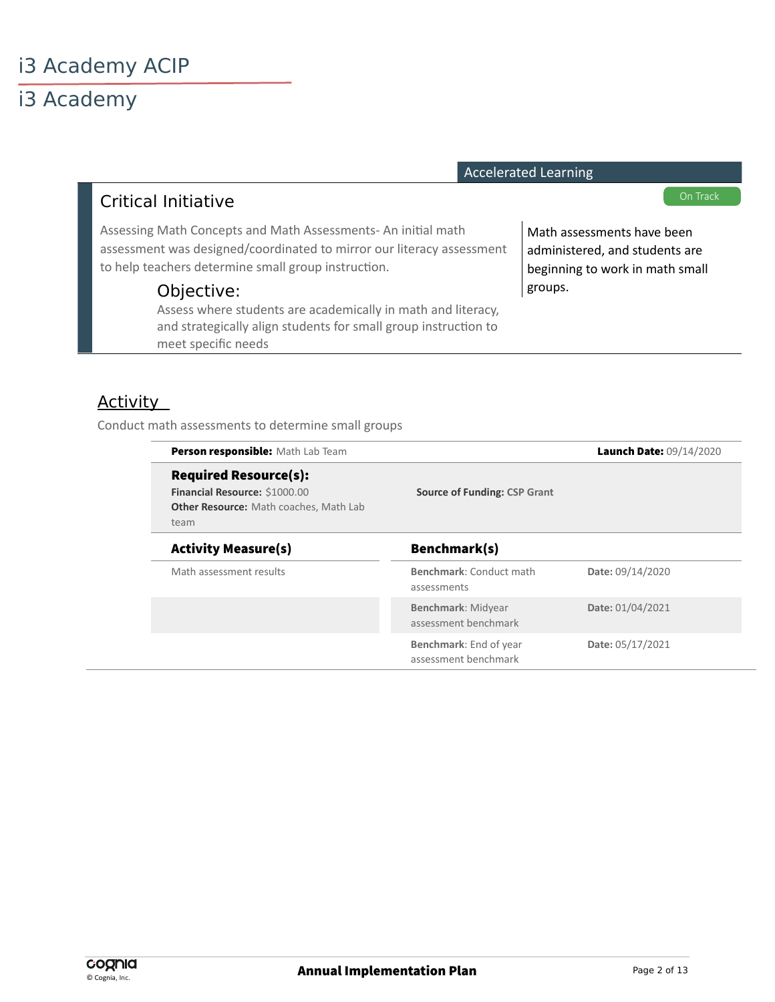# i3 Academy

|                                                                                                                                                                                              |                                     | <b>Accelerated Learning</b>                                                                     |
|----------------------------------------------------------------------------------------------------------------------------------------------------------------------------------------------|-------------------------------------|-------------------------------------------------------------------------------------------------|
| <b>Critical Initiative</b>                                                                                                                                                                   |                                     | On Track                                                                                        |
| Assessing Math Concepts and Math Assessments-An initial math<br>assessment was designed/coordinated to mirror our literacy assessment<br>to help teachers determine small group instruction. |                                     | Math assessments have been<br>administered, and students are<br>beginning to work in math small |
| Objective:<br>Assess where students are academically in math and literacy,<br>and strategically align students for small group instruction to<br>meet specific needs                         |                                     | groups.                                                                                         |
| <b>Activity</b><br>Conduct math assessments to determine small groups                                                                                                                        |                                     |                                                                                                 |
| Person responsible: Math Lab Team                                                                                                                                                            |                                     | Launch Date: 09/14/2020                                                                         |
| <b>Required Resource(s):</b><br>Financial Resource: \$1000.00<br>Other Resource: Math coaches, Math Lab<br>team                                                                              | <b>Source of Funding: CSP Grant</b> |                                                                                                 |
| <b>Activity Measure(s)</b>                                                                                                                                                                   | Benchmark(s)                        |                                                                                                 |

assessments

**Benchmark**: Midyear assessment benchmark

**Benchmark**: End of year assessment benchmark

Math assessment results **Benchmark**: Conduct math

© Cognia, Inc.

**Date:** 09/14/2020

**Date:** 01/04/2021

**Date:** 05/17/2021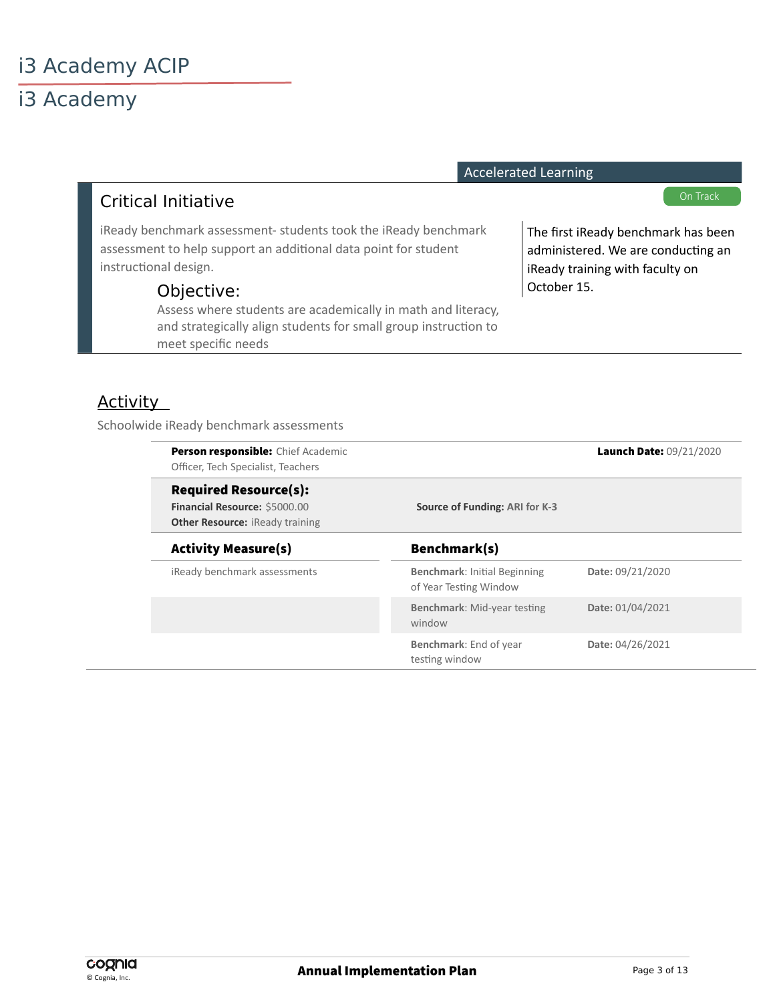# i3 Academy

|                                                                                                                                                                      | Accelerated Learning                                                                                         |
|----------------------------------------------------------------------------------------------------------------------------------------------------------------------|--------------------------------------------------------------------------------------------------------------|
| <b>Critical Initiative</b>                                                                                                                                           | On Track                                                                                                     |
| iReady benchmark assessment- students took the iReady benchmark<br>assessment to help support an additional data point for student<br>instructional design.          | The first iReady benchmark has been<br>administered. We are conducting an<br>iReady training with faculty on |
| Objective:<br>Assess where students are academically in math and literacy,<br>and strategically align students for small group instruction to<br>meet specific needs | October 15.                                                                                                  |

Accelerated Learning

### **Activity**

Schoolwide iReady benchmark assessments

| Person responsible: Chief Academic<br>Officer, Tech Specialist, Teachers                                |                                                               | Launch Date: 09/21/2020 |
|---------------------------------------------------------------------------------------------------------|---------------------------------------------------------------|-------------------------|
| <b>Required Resource(s):</b><br>Financial Resource: \$5000.00<br><b>Other Resource: iReady training</b> | Source of Funding: ARI for K-3                                |                         |
| <b>Activity Measure(s)</b>                                                                              | Benchmark(s)                                                  |                         |
| iReady benchmark assessments                                                                            | <b>Benchmark: Initial Beginning</b><br>of Year Testing Window | Date: 09/21/2020        |
|                                                                                                         | <b>Benchmark: Mid-year testing</b><br>window                  | Date: 01/04/2021        |
|                                                                                                         | Benchmark: End of year<br>testing window                      | Date: 04/26/2021        |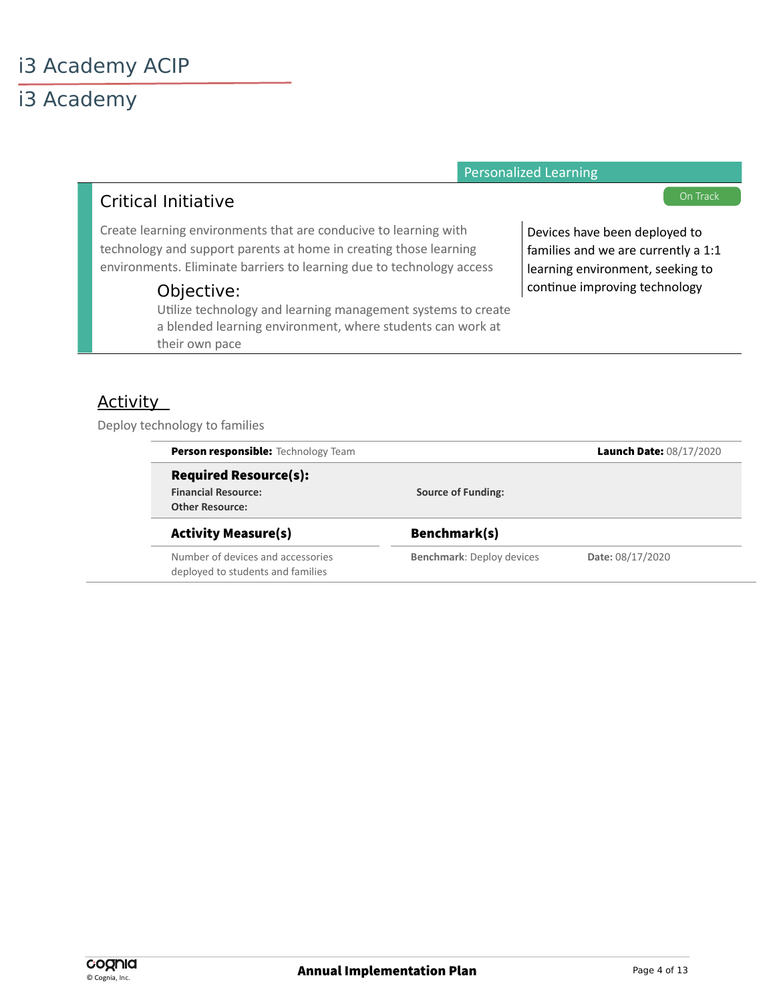i3 Academy

|                                                                                                                                                                                                                | <b>Personalized Learning</b>                                                                             |
|----------------------------------------------------------------------------------------------------------------------------------------------------------------------------------------------------------------|----------------------------------------------------------------------------------------------------------|
| <b>Critical Initiative</b>                                                                                                                                                                                     | On Track                                                                                                 |
| Create learning environments that are conducive to learning with<br>technology and support parents at home in creating those learning<br>environments. Eliminate barriers to learning due to technology access | Devices have been deployed to<br>families and we are currently a 1:1<br>learning environment, seeking to |
| Objective:<br>Utilize technology and learning management systems to create                                                                                                                                     | continue improving technology                                                                            |

a blended learning environment, where students can work at

#### **Activity**

Deploy technology to families

their own pace

| Person responsible: Technology Team                                    |                                  | Launch Date: 08/17/2020 |
|------------------------------------------------------------------------|----------------------------------|-------------------------|
| <b>Required Resource(s):</b>                                           |                                  |                         |
| <b>Financial Resource:</b>                                             | <b>Source of Funding:</b>        |                         |
| <b>Other Resource:</b>                                                 |                                  |                         |
| <b>Activity Measure(s)</b>                                             | Benchmark(s)                     |                         |
| Number of devices and accessories<br>deployed to students and families | <b>Benchmark: Deploy devices</b> | Date: 08/17/2020        |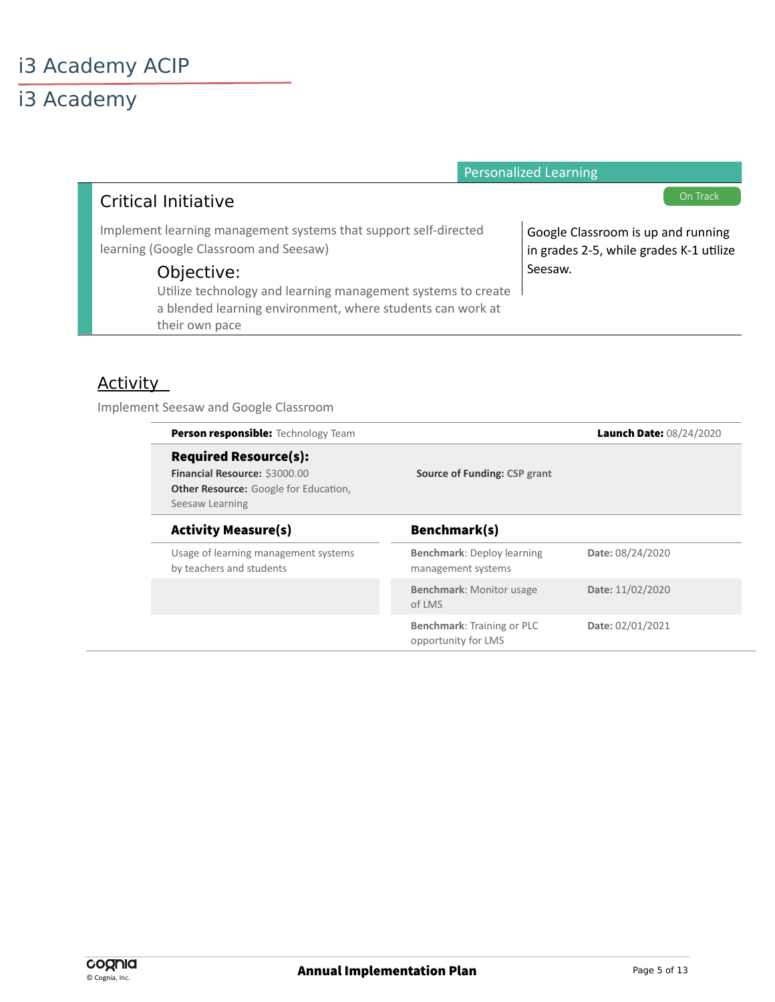|                                                                                                                            | <b>Personalized Learning</b>                                                  |
|----------------------------------------------------------------------------------------------------------------------------|-------------------------------------------------------------------------------|
| <b>Critical Initiative</b>                                                                                                 | On Track                                                                      |
| Implement learning management systems that support self-directed<br>learning (Google Classroom and Seesaw)                 | Google Classroom is up and running<br>in grades 2-5, while grades K-1 utilize |
| Objective:                                                                                                                 | Seesaw.                                                                       |
| Utilize technology and learning management systems to create<br>a blended learning environment, where students can work at |                                                                               |
| their own pace                                                                                                             |                                                                               |

#### **Activity**

Implement Seesaw and Google Classroom

| <b>Person responsible:</b> Technology Team                                                                                       |                                                   | Launch Date: 08/24/2020 |
|----------------------------------------------------------------------------------------------------------------------------------|---------------------------------------------------|-------------------------|
| <b>Required Resource(s):</b><br>Financial Resource: \$3000.00<br><b>Other Resource:</b> Google for Education,<br>Seesaw Learning | <b>Source of Funding: CSP grant</b>               |                         |
| <b>Activity Measure(s)</b>                                                                                                       | Benchmark(s)                                      |                         |
| Usage of learning management systems<br>by teachers and students                                                                 | Benchmark: Deploy learning<br>management systems  | Date: 08/24/2020        |
|                                                                                                                                  | <b>Benchmark: Monitor usage</b><br>of LMS         | Date: 11/02/2020        |
|                                                                                                                                  | Benchmark: Training or PLC<br>opportunity for LMS | Date: 02/01/2021        |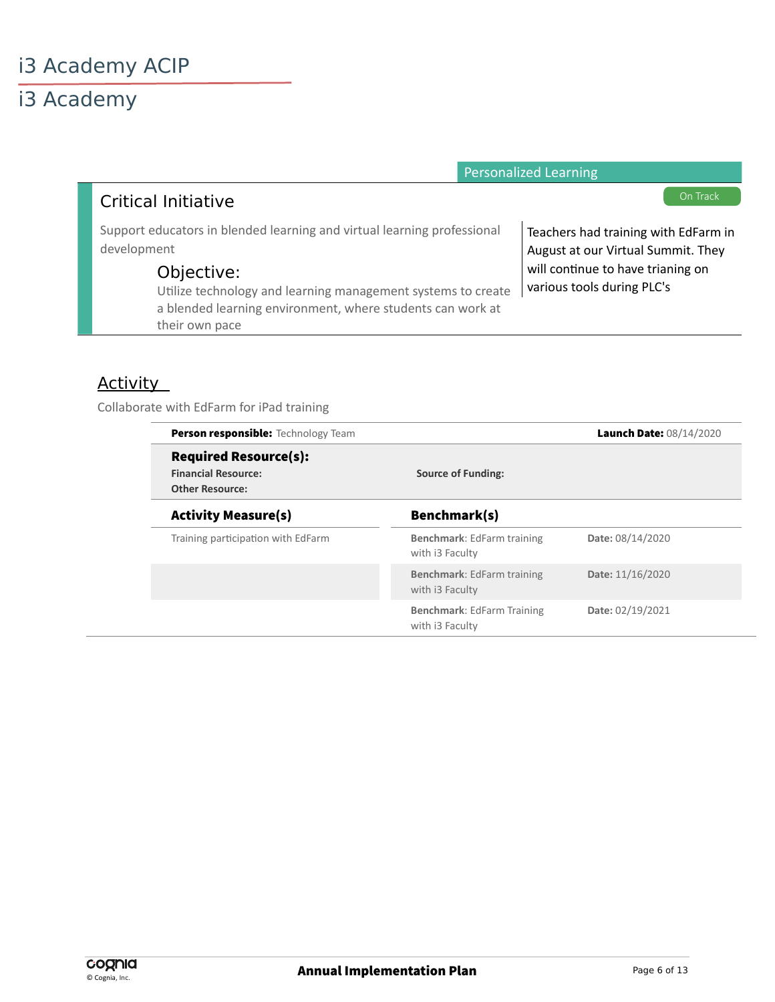|                                                                                                                                                                                                                                                      | <b>Personalized Learning</b>                                                                                                                  |
|------------------------------------------------------------------------------------------------------------------------------------------------------------------------------------------------------------------------------------------------------|-----------------------------------------------------------------------------------------------------------------------------------------------|
| Critical Initiative                                                                                                                                                                                                                                  | On Track                                                                                                                                      |
| Support educators in blended learning and virtual learning professional<br>development<br>Objective:<br>Utilize technology and learning management systems to create<br>a blended learning environment, where students can work at<br>their own pace | Teachers had training with EdFarm in<br>August at our Virtual Summit. They<br>will continue to have trianing on<br>various tools during PLC's |

#### **Activity**

Collaborate with EdFarm for iPad training

| <b>Person responsible:</b> Technology Team |                                                      | Launch Date: 08/14/2020 |
|--------------------------------------------|------------------------------------------------------|-------------------------|
| <b>Required Resource(s):</b>               |                                                      |                         |
| <b>Financial Resource:</b>                 | <b>Source of Funding:</b>                            |                         |
| <b>Other Resource:</b>                     |                                                      |                         |
| <b>Activity Measure(s)</b>                 | Benchmark(s)                                         |                         |
| Training participation with EdFarm         | Benchmark: EdFarm training<br>with i3 Faculty        | Date: 08/14/2020        |
|                                            | <b>Benchmark:</b> EdFarm training<br>with i3 Faculty | Date: 11/16/2020        |
|                                            | <b>Benchmark: EdFarm Training</b><br>with i3 Faculty | Date: 02/19/2021        |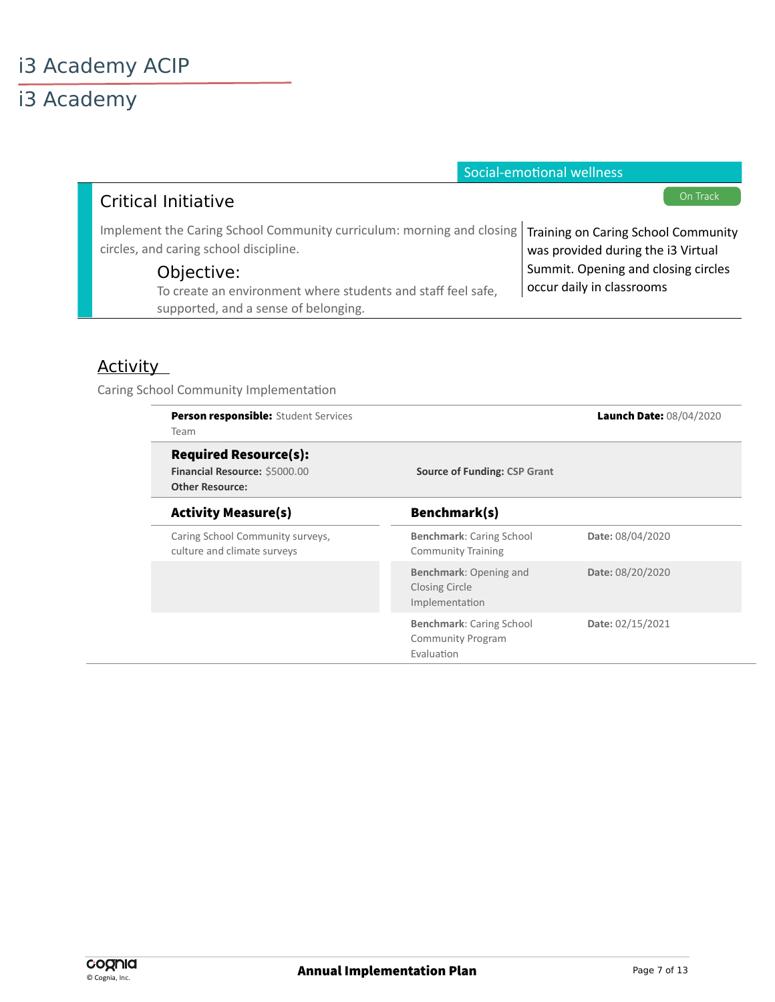|                                                                                                                                                       | Social-emotional wellness           |
|-------------------------------------------------------------------------------------------------------------------------------------------------------|-------------------------------------|
| <b>Critical Initiative</b>                                                                                                                            | On Track                            |
| Implement the Caring School Community curriculum: morning and closing   Training on Caring School Community<br>circles, and caring school discipline. | was provided during the i3 Virtual  |
| Objective:                                                                                                                                            | Summit. Opening and closing circles |
| To create an environment where students and staff feel safe,<br>supported, and a sense of belonging.                                                  | occur daily in classrooms           |

#### **Activity**

Caring School Community Implementaton

| <b>Person responsible:</b> Student Services<br><b>Team</b>                              |                                                                           | Launch Date: 08/04/2020 |
|-----------------------------------------------------------------------------------------|---------------------------------------------------------------------------|-------------------------|
| <b>Required Resource(s):</b><br>Financial Resource: \$5000.00<br><b>Other Resource:</b> | <b>Source of Funding: CSP Grant</b>                                       |                         |
| <b>Activity Measure(s)</b>                                                              | Benchmark(s)                                                              |                         |
| Caring School Community surveys,<br>culture and climate surveys                         | <b>Benchmark: Caring School</b><br><b>Community Training</b>              | Date: 08/04/2020        |
|                                                                                         | Benchmark: Opening and<br>Closing Circle<br>Implementation                | Date: 08/20/2020        |
|                                                                                         | <b>Benchmark: Caring School</b><br><b>Community Program</b><br>Evaluation | Date: 02/15/2021        |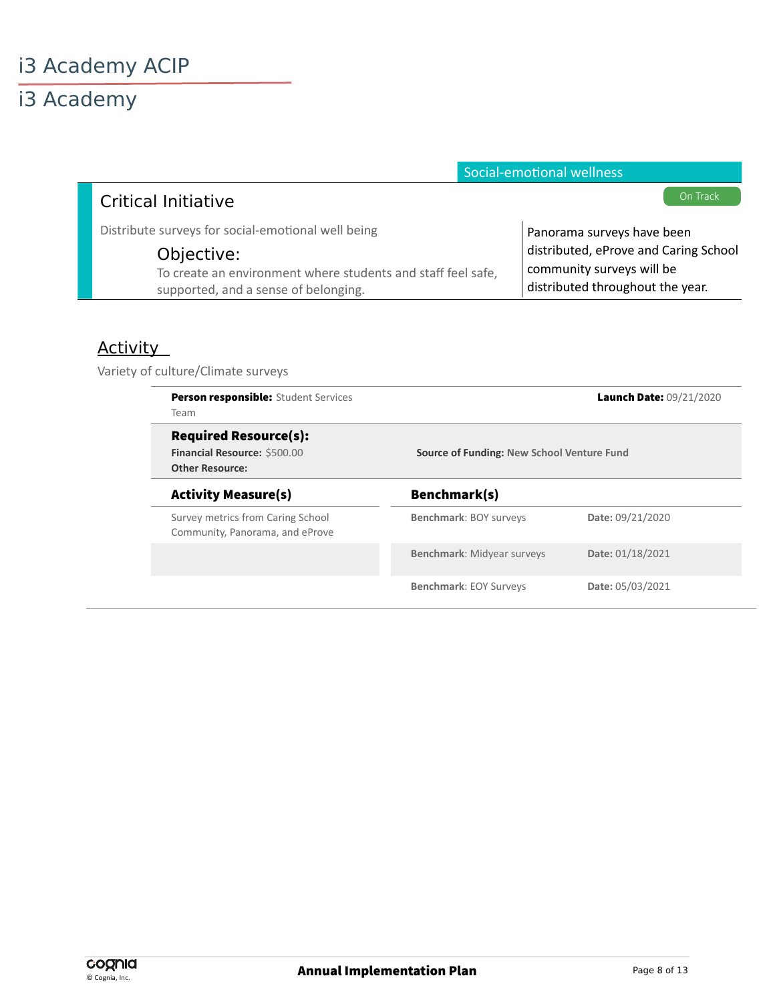|                                                              | Social-emotional wellness             |
|--------------------------------------------------------------|---------------------------------------|
| <b>Critical Initiative</b>                                   | On Track                              |
| Distribute surveys for social-emotional well being           | Panorama surveys have been            |
| Objective:                                                   | distributed, eProve and Caring School |
| To create an environment where students and staff feel safe, | community surveys will be             |
| supported, and a sense of belonging.                         | distributed throughout the year.      |

### **Activity**

Variety of culture/Climate surveys

| <b>Person responsible:</b> Student Services<br>Team                                    |                                            | Launch Date: 09/21/2020 |
|----------------------------------------------------------------------------------------|--------------------------------------------|-------------------------|
| <b>Required Resource(s):</b><br>Financial Resource: \$500.00<br><b>Other Resource:</b> | Source of Funding: New School Venture Fund |                         |
| <b>Activity Measure(s)</b>                                                             | Benchmark(s)                               |                         |
| Survey metrics from Caring School<br>Community, Panorama, and eProve                   | Benchmark: BOY surveys                     | Date: 09/21/2020        |
|                                                                                        | <b>Benchmark: Midyear surveys</b>          | Date: 01/18/2021        |
|                                                                                        | <b>Benchmark: EOY Surveys</b>              | Date: 05/03/2021        |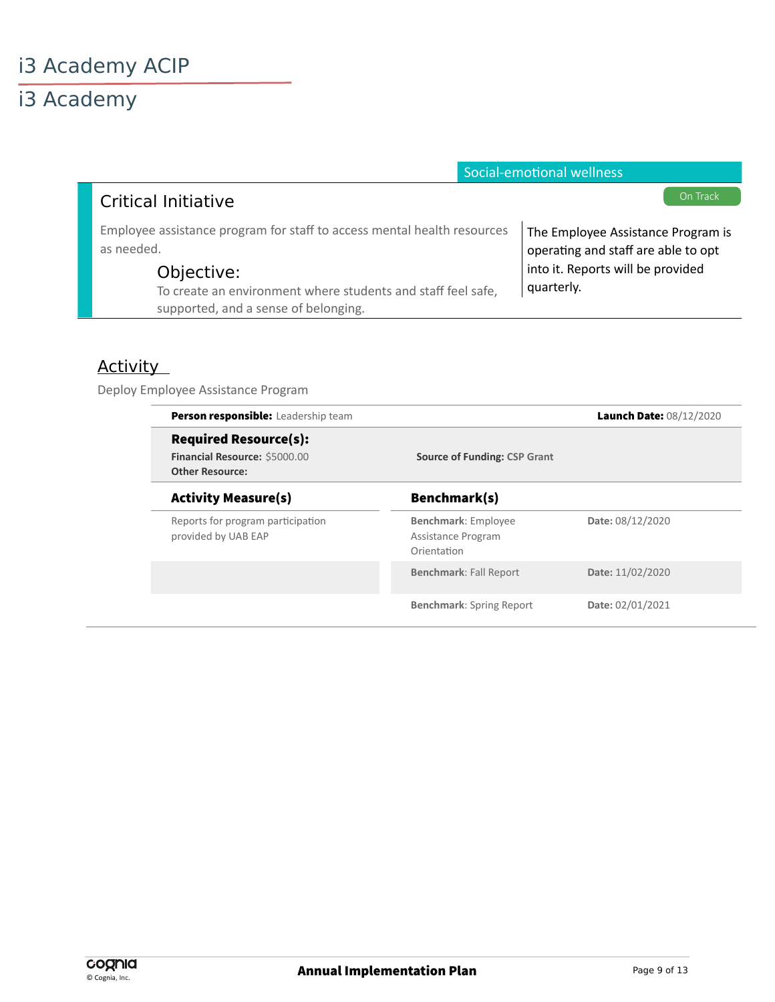|                                                                                                                    | Social-emotional wellness                                                 |
|--------------------------------------------------------------------------------------------------------------------|---------------------------------------------------------------------------|
| Critical Initiative                                                                                                | On Track                                                                  |
| Employee assistance program for staff to access mental health resources<br>as needed.                              | The Employee Assistance Program is<br>operating and staff are able to opt |
| Objective:<br>To create an environment where students and staff feel safe,<br>supported, and a sense of belonging. | into it. Reports will be provided<br>quarterly.                           |

### **Activity**

Deploy Employee Assistance Program

| Person responsible: Leadership team                                                     |                                                                 | Launch Date: 08/12/2020 |
|-----------------------------------------------------------------------------------------|-----------------------------------------------------------------|-------------------------|
| <b>Required Resource(s):</b><br>Financial Resource: \$5000.00<br><b>Other Resource:</b> | <b>Source of Funding: CSP Grant</b>                             |                         |
| <b>Activity Measure(s)</b>                                                              | Benchmark(s)                                                    |                         |
| Reports for program participation<br>provided by UAB EAP                                | <b>Benchmark: Employee</b><br>Assistance Program<br>Orientation | Date: 08/12/2020        |
|                                                                                         | <b>Benchmark: Fall Report</b>                                   | Date: 11/02/2020        |
|                                                                                         | <b>Benchmark:</b> Spring Report                                 | Date: 02/01/2021        |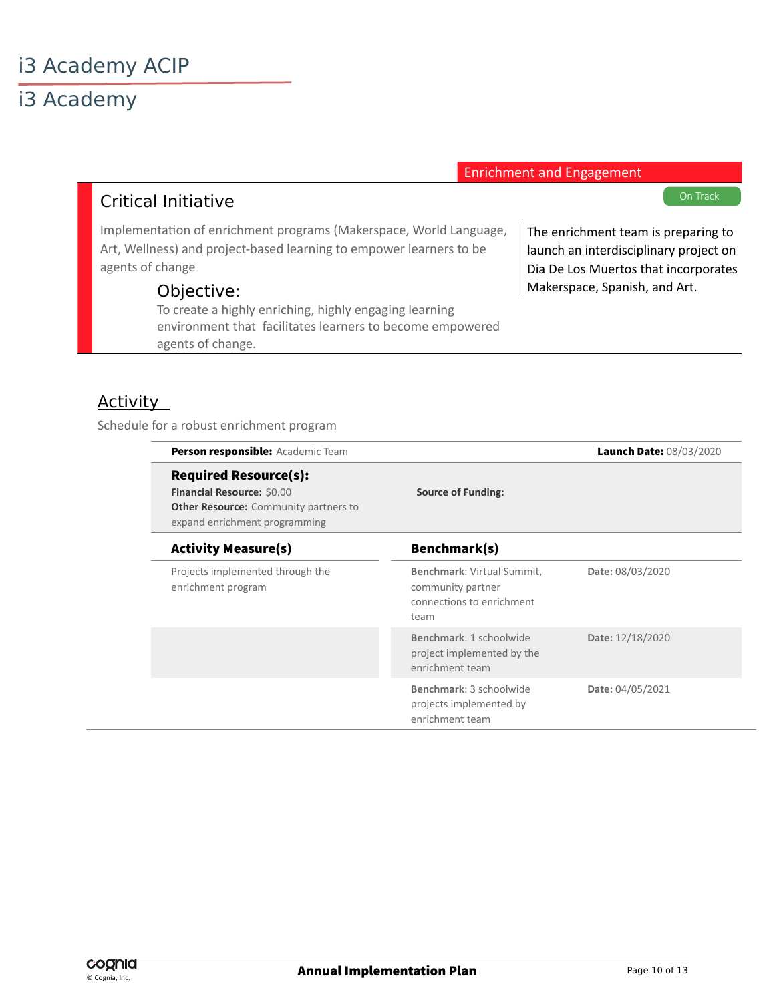### i3 Academy

Enrichment and Engagement

#### Critical Initiative

Implementaton of enrichment programs (Makerspace, World Language, Art, Wellness) and project-based learning to empower learners to be agents of change

#### Objective:

To create a highly enriching, highly engaging learning environment that facilitates learners to become empowered agents of change.

On Track

The enrichment team is preparing to launch an interdisciplinary project on Dia De Los Muertos that incorporates Makerspace, Spanish, and Art.

#### **Activity**

Schedule for a robust enrichment program

| Person responsible: Academic Team                                                                                                           |                                                                                      | Launch Date: 08/03/2020 |
|---------------------------------------------------------------------------------------------------------------------------------------------|--------------------------------------------------------------------------------------|-------------------------|
| <b>Required Resource(s):</b><br>Financial Resource: \$0.00<br><b>Other Resource:</b> Community partners to<br>expand enrichment programming | <b>Source of Funding:</b>                                                            |                         |
| <b>Activity Measure(s)</b>                                                                                                                  | Benchmark(s)                                                                         |                         |
| Projects implemented through the<br>enrichment program                                                                                      | Benchmark: Virtual Summit,<br>community partner<br>connections to enrichment<br>team | Date: 08/03/2020        |
|                                                                                                                                             | Benchmark: 1 schoolwide<br>project implemented by the<br>enrichment team             | Date: 12/18/2020        |
|                                                                                                                                             | Benchmark: 3 schoolwide<br>projects implemented by<br>enrichment team                | Date: 04/05/2021        |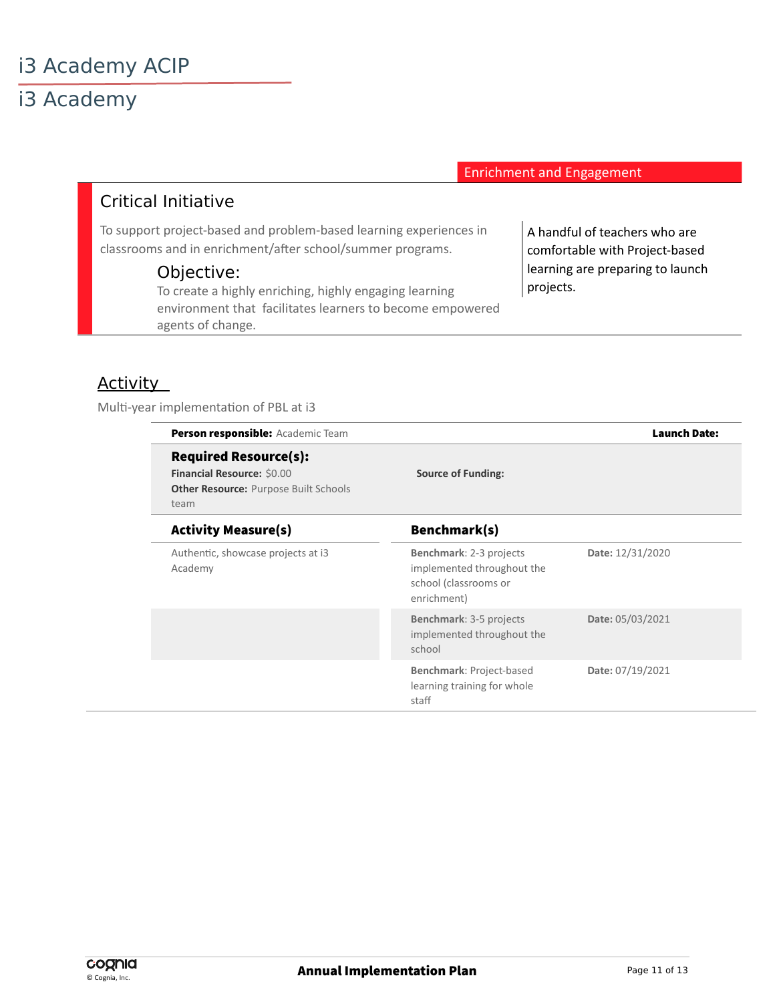Enrichment and Engagement

#### Critical Initiative

To support project-based and problem-based learning experiences in classrooms and in enrichment/afer school/summer programs.

#### Objective:

To create a highly enriching, highly engaging learning environment that facilitates learners to become empowered agents of change.

A handful of teachers who are comfortable with Project-based learning are preparing to launch projects.

#### Activity

Multi-year implementation of PBL at i3

| Person responsible: Academic Team                                                                                  |                                                                                               | <b>Launch Date:</b> |
|--------------------------------------------------------------------------------------------------------------------|-----------------------------------------------------------------------------------------------|---------------------|
| <b>Required Resource(s):</b><br>Financial Resource: \$0.00<br><b>Other Resource: Purpose Built Schools</b><br>team | <b>Source of Funding:</b>                                                                     |                     |
| <b>Activity Measure(s)</b>                                                                                         | Benchmark(s)                                                                                  |                     |
| Authentic, showcase projects at i3<br>Academy                                                                      | Benchmark: 2-3 projects<br>implemented throughout the<br>school (classrooms or<br>enrichment) | Date: 12/31/2020    |
|                                                                                                                    | Benchmark: 3-5 projects<br>implemented throughout the<br>school                               | Date: 05/03/2021    |
|                                                                                                                    | Benchmark: Project-based<br>learning training for whole<br>staff                              | Date: 07/19/2021    |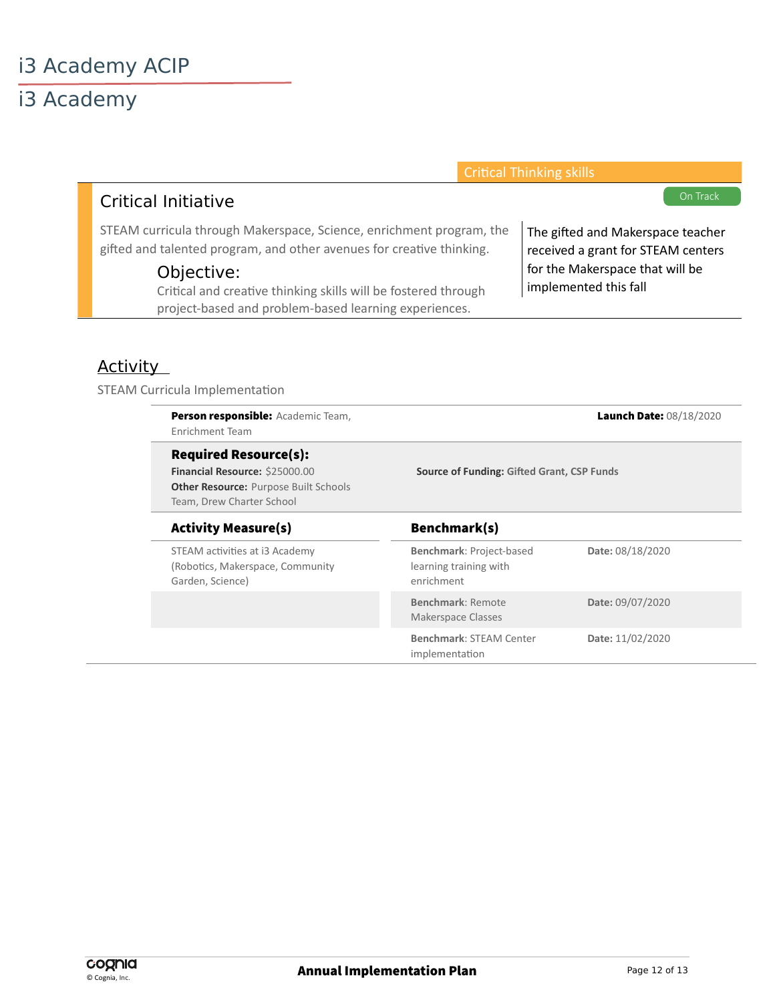| <b>Critical Thinking skills</b>                                                                                                                 |
|-------------------------------------------------------------------------------------------------------------------------------------------------|
| On Track                                                                                                                                        |
| STEAM curricula through Makerspace, Science, enrichment program, the<br>The gifted and Makerspace teacher<br>received a grant for STEAM centers |
| for the Makerspace that will be<br>implemented this fall                                                                                        |
|                                                                                                                                                 |

### **Activity**

STEAM Curricula Implementation

| Person responsible: Academic Team,<br>Enrichment Team                                                                                       |                                                                  | Launch Date: 08/18/2020 |
|---------------------------------------------------------------------------------------------------------------------------------------------|------------------------------------------------------------------|-------------------------|
| <b>Required Resource(s):</b><br>Financial Resource: \$25000.00<br><b>Other Resource: Purpose Built Schools</b><br>Team, Drew Charter School | Source of Funding: Gifted Grant, CSP Funds                       |                         |
| <b>Activity Measure(s)</b>                                                                                                                  | Benchmark(s)                                                     |                         |
| STEAM activities at i3 Academy<br>(Robotics, Makerspace, Community<br>Garden, Science)                                                      | Benchmark: Project-based<br>learning training with<br>enrichment | Date: 08/18/2020        |
|                                                                                                                                             | Benchmark: Remote<br>Makerspace Classes                          | Date: 09/07/2020        |
|                                                                                                                                             | <b>Benchmark: STEAM Center</b><br>implementation                 | Date: 11/02/2020        |